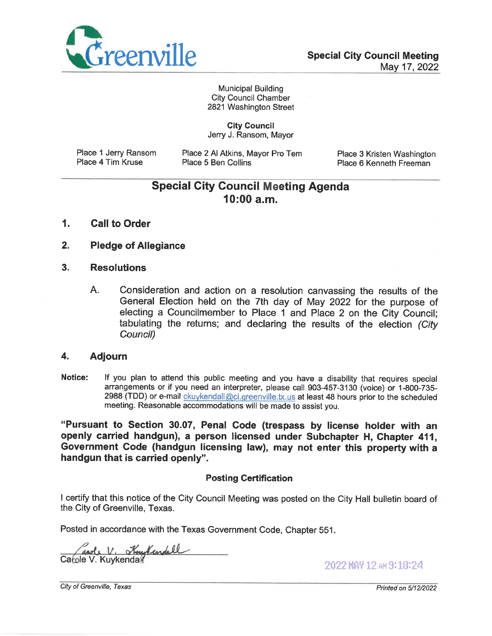

**Municipal Building City Council Chamber** 2821 Washington Street

**City Council** Jerry J. Ransom, Mayor

Place 1 Jerry Ransom Place 4 Tim Kruse

Place 2 Al Atkins, Mayor Pro Tem Place 5 Ben Collins

Place 3 Kristen Washington Place 6 Kenneth Freeman

# **Special City Council Meeting Agenda**  $10:00$  a.m.

- $\mathbf{1}$ . **Call to Order**
- $2.$ **Pledge of Allegiance**
- $3<sub>1</sub>$ **Resolutions** 
	- A. Consideration and action on a resolution canvassing the results of the General Election held on the 7th day of May 2022 for the purpose of electing a Councilmember to Place 1 and Place 2 on the City Council; tabulating the returns; and declaring the results of the election (City Council)

#### 4. **Adjourn**

Notice: If you plan to attend this public meeting and you have a disability that requires special arrangements or if you need an interpreter, please call 903-457-3130 (voice) or 1-800-735-2988 (TDD) or e-mail *ckuykendall@ci.greenville.tx.us* at least 48 hours prior to the scheduled meeting. Reasonable accommodations will be made to assist you.

"Pursuant to Section 30.07, Penal Code (trespass by license holder with an openly carried handgun), a person licensed under Subchapter H. Chapter 411. Government Code (handgun licensing law), may not enter this property with a handgun that is carried openly".

#### **Posting Certification**

I certify that this notice of the City Council Meeting was posted on the City Hall bulletin board of the City of Greenville, Texas.

Posted in accordance with the Texas Government Code, Chapter 551.

and V. Kentendell Catole V. Kuykendall

2022 MAY 12 AM 9:18:24

City of Greenville, Texas

Printed on 5/12/2022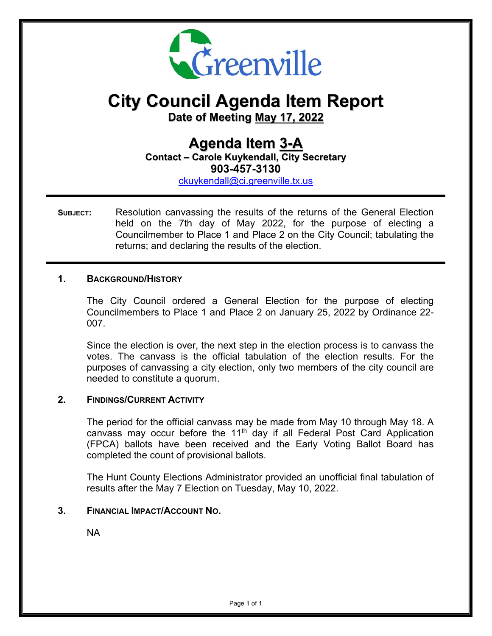

# **City Council Agenda Item Report**

**Date of Meeting May 17, 2022**

# **Agenda Item 3-A Contact – Carole Kuykendall, City Secretary 903-457-3130**

ckuykendall@ci.greenville.tx.us

**SUBJECT:** Resolution canvassing the results of the returns of the General Election held on the 7th day of May 2022, for the purpose of electing a Councilmember to Place 1 and Place 2 on the City Council; tabulating the returns; and declaring the results of the election.

#### **1. BACKGROUND/HISTORY**

 The City Council ordered a General Election for the purpose of electing Councilmembers to Place 1 and Place 2 on January 25, 2022 by Ordinance 22- 007.

Since the election is over, the next step in the election process is to canvass the votes. The canvass is the official tabulation of the election results. For the purposes of canvassing a city election, only two members of the city council are needed to constitute a quorum.

#### **2. FINDINGS/CURRENT ACTIVITY**

The period for the official canvass may be made from May 10 through May 18. A canvass may occur before the  $11<sup>th</sup>$  day if all Federal Post Card Application (FPCA) ballots have been received and the Early Voting Ballot Board has completed the count of provisional ballots.

The Hunt County Elections Administrator provided an unofficial final tabulation of results after the May 7 Election on Tuesday, May 10, 2022.

#### **3. FINANCIAL IMPACT/ACCOUNT NO.**

NA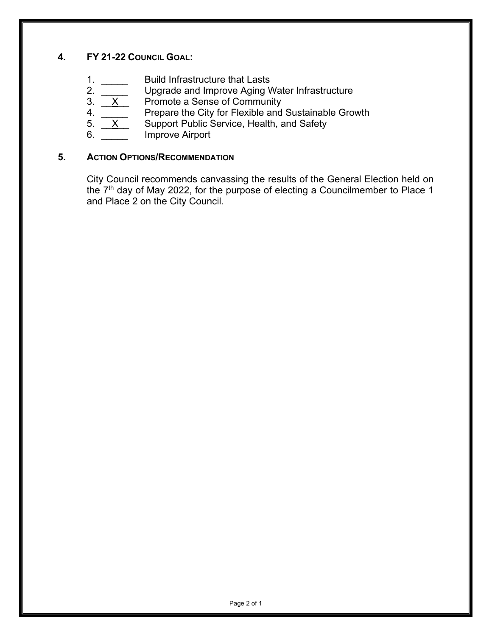# **4. FY 21-22 COUNCIL GOAL:**

- 
- 1.  $\frac{1}{2}$  Build Infrastructure that Lasts<br>2.  $\frac{1}{2}$  Upgrade and Improve Aging V<br>1. Promote a Sense of Commun Upgrade and Improve Aging Water Infrastructure
- 
- 3.  $X$  Promote a Sense of Community<br>4. Prepare the City for Flexible and 4.  $\overline{\mathbf{X}}$  Prepare the City for Flexible and Sustainable Growth 5.  $\overline{\mathbf{X}}$  Support Public Service, Health, and Safety
- Support Public Service, Health, and Safety
- 6. **Improve Airport**

### **5. ACTION OPTIONS/RECOMMENDATION**

City Council recommends canvassing the results of the General Election held on the  $7<sup>th</sup>$  day of May 2022, for the purpose of electing a Councilmember to Place 1 and Place 2 on the City Council.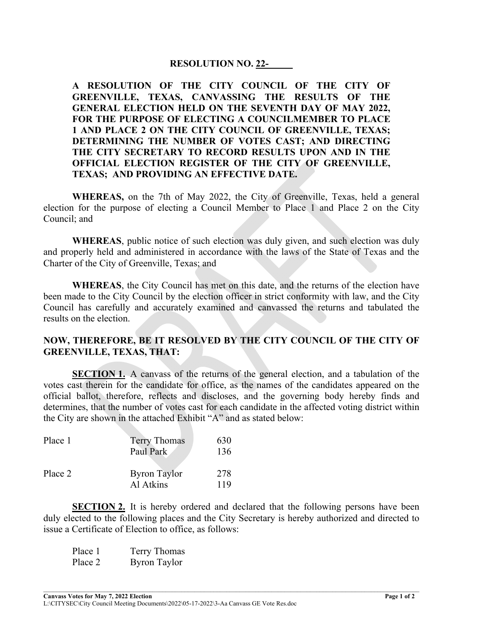#### **RESOLUTION NO. 22-\_\_\_\_\_**

**A RESOLUTION OF THE CITY COUNCIL OF THE CITY OF GREENVILLE, TEXAS, CANVASSING THE RESULTS OF THE GENERAL ELECTION HELD ON THE SEVENTH DAY OF MAY 2022, FOR THE PURPOSE OF ELECTING A COUNCILMEMBER TO PLACE 1 AND PLACE 2 ON THE CITY COUNCIL OF GREENVILLE, TEXAS; DETERMINING THE NUMBER OF VOTES CAST; AND DIRECTING THE CITY SECRETARY TO RECORD RESULTS UPON AND IN THE OFFICIAL ELECTION REGISTER OF THE CITY OF GREENVILLE, TEXAS; AND PROVIDING AN EFFECTIVE DATE.** 

**WHEREAS,** on the 7th of May 2022, the City of Greenville, Texas, held a general election for the purpose of electing a Council Member to Place 1 and Place 2 on the City Council; and

**WHEREAS**, public notice of such election was duly given, and such election was duly and properly held and administered in accordance with the laws of the State of Texas and the Charter of the City of Greenville, Texas; and

**WHEREAS**, the City Council has met on this date, and the returns of the election have been made to the City Council by the election officer in strict conformity with law, and the City Council has carefully and accurately examined and canvassed the returns and tabulated the results on the election.

#### **NOW, THEREFORE, BE IT RESOLVED BY THE CITY COUNCIL OF THE CITY OF GREENVILLE, TEXAS, THAT:**

**SECTION 1.** A canvass of the returns of the general election, and a tabulation of the votes cast therein for the candidate for office, as the names of the candidates appeared on the official ballot, therefore, reflects and discloses, and the governing body hereby finds and determines, that the number of votes cast for each candidate in the affected voting district within the City are shown in the attached Exhibit "A" and as stated below:

| Place 1 | <b>Terry Thomas</b><br>Paul Park | 630<br>136 |
|---------|----------------------------------|------------|
| Place 2 | <b>Byron Taylor</b><br>Al Atkins | 278<br>119 |

**SECTION 2.** It is hereby ordered and declared that the following persons have been duly elected to the following places and the City Secretary is hereby authorized and directed to issue a Certificate of Election to office, as follows:

| Place 1 | Terry Thomas        |
|---------|---------------------|
| Place 2 | <b>Byron Taylor</b> |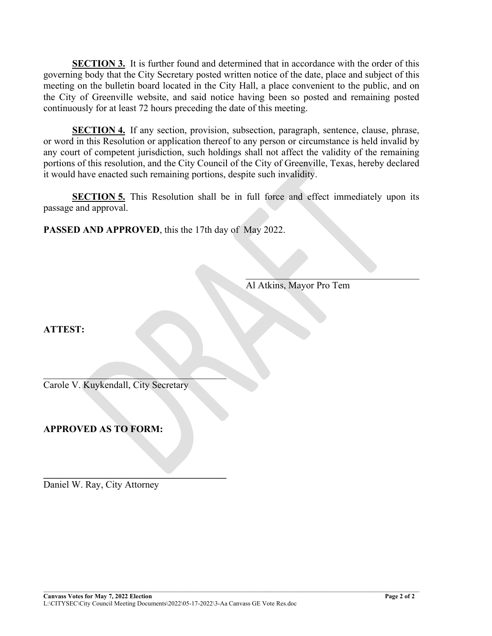**SECTION 3.** It is further found and determined that in accordance with the order of this governing body that the City Secretary posted written notice of the date, place and subject of this meeting on the bulletin board located in the City Hall, a place convenient to the public, and on the City of Greenville website, and said notice having been so posted and remaining posted continuously for at least 72 hours preceding the date of this meeting.

**SECTION 4.** If any section, provision, subsection, paragraph, sentence, clause, phrase, or word in this Resolution or application thereof to any person or circumstance is held invalid by any court of competent jurisdiction, such holdings shall not affect the validity of the remaining portions of this resolution, and the City Council of the City of Greenville, Texas, hereby declared it would have enacted such remaining portions, despite such invalidity.

**SECTION 5.** This Resolution shall be in full force and effect immediately upon its passage and approval.

**PASSED AND APPROVED**, this the 17th day of May 2022.

 $\mathcal{L}_\text{max}$  and  $\mathcal{L}_\text{max}$  and  $\mathcal{L}_\text{max}$  and  $\mathcal{L}_\text{max}$ Al Atkins, Mayor Pro Tem

**ATTEST:** 

Carole V. Kuykendall, City Secretary

 $\mathcal{L}=\mathcal{L}=\mathcal{L}=\mathcal{L}=\mathcal{L}=\mathcal{L}=\mathcal{L}=\mathcal{L}=\mathcal{L}=\mathcal{L}=\mathcal{L}=\mathcal{L}=\mathcal{L}=\mathcal{L}=\mathcal{L}=\mathcal{L}=\mathcal{L}=\mathcal{L}=\mathcal{L}=\mathcal{L}=\mathcal{L}=\mathcal{L}=\mathcal{L}=\mathcal{L}=\mathcal{L}=\mathcal{L}=\mathcal{L}=\mathcal{L}=\mathcal{L}=\mathcal{L}=\mathcal{L}=\mathcal{L}=\mathcal{L}=\mathcal{L}=\mathcal{L}=\mathcal{L}=\mathcal{$ 

**\_\_\_\_\_\_\_\_\_\_\_\_\_\_\_\_\_\_\_\_\_\_\_\_\_\_\_\_\_\_\_\_\_\_\_\_\_\_** 

**APPROVED AS TO FORM:** 

Daniel W. Ray, City Attorney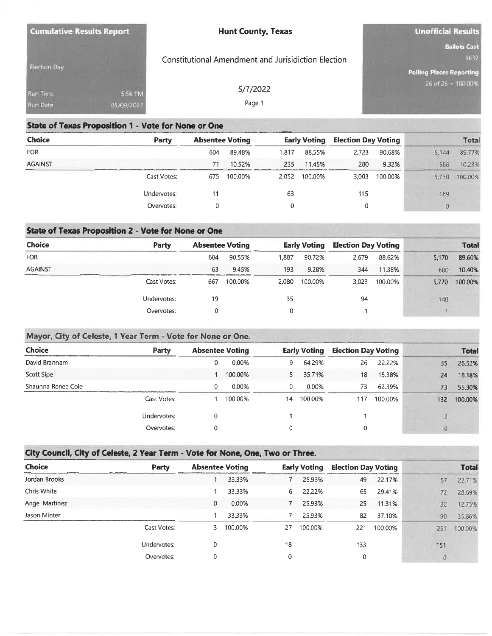| <b>Cumulative Results Report</b> |                       | <b>Hunt County, Texas</b>                                  | <b>Unofficial Results</b>                                      |  |  |
|----------------------------------|-----------------------|------------------------------------------------------------|----------------------------------------------------------------|--|--|
| Election Day                     |                       | <b>Constitutional Amendment and Jurisidiction Election</b> | <b>Ballots Cast</b><br>9632<br><b>Polling Places Reporting</b> |  |  |
| Run Time<br>Run Date             | 5:56 PM<br>05/09/2022 | 5/7/2022<br>Page 1                                         | 26 of 26 = 100.00%                                             |  |  |

### **State of Texas Proposition 1 - Vote for None or One**

| <b>Choice</b>  | Party       | <b>Absentee Voting</b> |         | <b>Early Voting</b> |         | <b>Election Day Voting</b> |         | Total            |         |
|----------------|-------------|------------------------|---------|---------------------|---------|----------------------------|---------|------------------|---------|
| <b>FOR</b>     |             | 604                    | 89.48%  | 1,817               | 88.55%  | 2,723                      | 90.68%  | 5.144            | 89.77%  |
| <b>AGAINST</b> |             | 71                     | 10.52%  | 235                 | 11.45%  | 280                        | 9.32%   | 586              | 10.23%  |
|                | Cast Votes: | 675                    | 100.00% | 2.052               | 100.00% | 3.003                      | 100.00% | 5.730            | 100.00% |
|                | Undervotes: | 11                     |         | 63                  |         | 115                        |         | 189              |         |
|                | Overvotes:  |                        |         | 0                   |         | 0                          |         | $\boldsymbol{0}$ |         |

# **State of Texas Proposition 2 - Vote for None or One**

| <b>Choice</b>  | Party       | <b>Absentee Voting</b> |         |       | <b>Early Voting</b> |       | <b>Election Day Voting</b> |       | <b>Total</b> |  |
|----------------|-------------|------------------------|---------|-------|---------------------|-------|----------------------------|-------|--------------|--|
| <b>FOR</b>     |             | 604                    | 90.55%  | 1.887 | 90.72%              | 2.679 | 88.62%                     | 5,170 | 89.60%       |  |
| <b>AGAINST</b> |             | 63                     | 9.45%   | 193   | 9.28%               | 344   | 11.38%                     | 600   | 10.40%       |  |
|                | Cast Votes: | 667                    | 100.00% | 2,080 | 100.00%             | 3,023 | 100.00%                    | 5.770 | 100.00%      |  |
|                | Undervotes: | 19                     |         | 35    |                     | 94    |                            | 148   |              |  |
|                | Overvotes:  |                        |         |       |                     |       |                            |       |              |  |

#### Mayor, City of Celeste, 1 Year Term - Vote for None or One.

| <b>Choice</b>      | Party       |   | <b>Absentee Voting</b> |    | <b>Early Voting</b> | <b>Election Day Voting</b> |         |     | <b>Total</b> |
|--------------------|-------------|---|------------------------|----|---------------------|----------------------------|---------|-----|--------------|
| David Brannam      |             | 0 | 0.00%                  | ۹. | 64.29%              | 26                         | 22.22%  | 35  | 26.52%       |
| Scott Sipe         |             |   | 100.00%                |    | 35.71%              | 18                         | 15.38%  | 24  | 18.18%       |
| Shaunna Renee Cole |             | 0 | 0.00%                  |    | 0.00%               | 73                         | 62.39%  | 73  | 55.30%       |
|                    | Cast Votes: |   | 100.00%                | 14 | 100.00%             | 117                        | 100.00% | 132 | 100.00%      |
|                    | Undervotes: | 0 |                        |    |                     |                            |         |     |              |
|                    | Overvotes:  | 0 |                        |    |                     | 0                          |         | 0   |              |

# City Council, City of Celeste, 2 Year Term - Vote for None, One, Two or Three.

| <b>Choice</b>  | <b>Party</b> | <b>Absentee Voting</b> |         |    | <b>Early Voting</b> | <b>Election Day Voting</b> |         |                | <b>Total</b> |
|----------------|--------------|------------------------|---------|----|---------------------|----------------------------|---------|----------------|--------------|
| Jordan Brooks  |              |                        | 33.33%  |    | 25.93%              | 49                         | 22.17%  | 57             | 22.71%       |
| Chris White    |              |                        | 33.33%  | 6. | 22.22%              | 65                         | 29.41%  | 72             | 28.69%       |
| Angel Martinez |              | 0                      | 0.00%   |    | 25.93%              | 25                         | 11.31%  | 32             | 12.75%       |
| Jason Minter   |              |                        | 33.33%  |    | 25.93%              | 82                         | 37.10%  | 90             | 35.86%       |
|                | Cast Votes:  | 3                      | 100.00% | 27 | 100.00%             | 221                        | 100.00% | 251            | 100.00%      |
|                | Undervotes:  | 0                      |         | 18 |                     | 133                        |         | 151            |              |
|                | Overvotes:   | 0                      |         | 0  |                     | 0                          |         | $\overline{0}$ |              |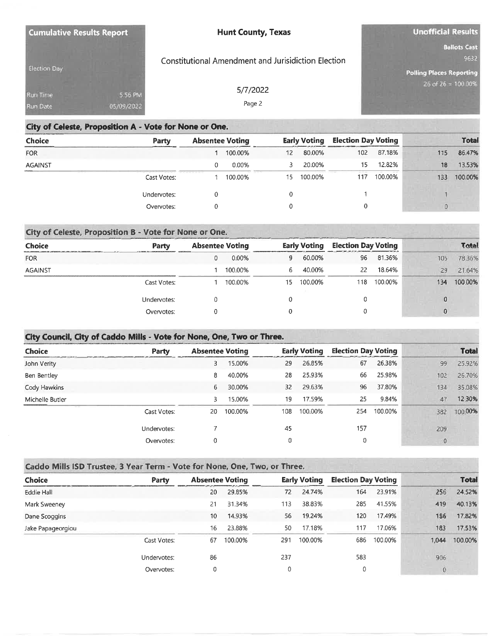| <b>Cumulative Results Report</b> |                       | <b>Hunt County, Texas</b>                                  | <b>Unofficial Results</b>                                      |
|----------------------------------|-----------------------|------------------------------------------------------------|----------------------------------------------------------------|
| <b>Election Day</b>              |                       | <b>Constitutional Amendment and Jurisidiction Election</b> | <b>Ballots Cast</b><br>9632<br><b>Polling Places Reporting</b> |
| Run Time<br><b>Run Date</b>      | 5:56 PM<br>05/09/2022 | 5/7/2022<br>Page 2                                         | 26 of $26 = 100.00%$                                           |

#### City of Celeste, Proposition A - Vote for None or One.

| <b>Choice</b>  | Party       | <b>Absentee Voting</b>        |         |    | <b>Early Voting</b> |     | <b>Election Day Voting</b> |     | <b>Total</b> |  |
|----------------|-------------|-------------------------------|---------|----|---------------------|-----|----------------------------|-----|--------------|--|
| <b>FOR</b>     |             |                               | 100.00% | 12 | 80.00%              | 102 | 87.18%                     | 115 | 86.47%       |  |
| <b>AGAINST</b> |             |                               | 0.00%   | 3. | 20.00%              | 15  | 12.82%                     | 18  | 13.53%       |  |
|                | Cast Votes: | 00 000 000 000 000 000 000 10 | 100.00% | 15 | 100.00%             | 117 | 100.00%                    | 133 | 100.00%      |  |
|                | Undervotes: |                               |         | 0  |                     |     |                            |     |              |  |
|                | Overvotes:  |                               |         |    |                     | 0   |                            |     |              |  |

#### City of Celeste, Proposition B - Vote for None or One. **Election Day Voting Total Absentee Voting Early Voting** Choice **Party** 60.00% 78.36% **FOR** 9 96 81.36% 105  $\mathbf 0$ 0.00% 1 100.00%  $6<sup>1</sup>$ 40.00% 22 18.64% 29 21.64% **AGAINST** Cast Votes: 1 100.00%  $15$ 100.00% 118 100.00% 134 100.00%  $\theta$ Undervotes:  $\pmb{0}$  $\,0\,$  $\boldsymbol{0}$  $\pmb{0}$  $\boldsymbol{0}$  $\theta$  $\pmb{0}$ Overvotes:

### City Council, City of Caddo Mills - Vote for None, One, Two or Three.

| <b>Choice</b>   | <b>Party</b> | <b>Absentee Voting</b> |         |     | <b>Early Voting</b> | <b>Election Day Voting</b> |         |              | <b>Total</b> |
|-----------------|--------------|------------------------|---------|-----|---------------------|----------------------------|---------|--------------|--------------|
| John Verity     |              | 3                      | 15.00%  | 29  | 26.85%              | 67                         | 26.38%  | 99           | 25.92%       |
| Ben Bentley     |              | 8                      | 40.00%  | 28  | 25.93%              | 66                         | 25.98%  | 102          | 26.70%       |
| Cody Hawkins    |              | 6                      | 30.00%  | 32  | 29.63%              | 96                         | 37.80%  | 134          | 35.08%       |
| Michelle Butler |              | 3                      | 15.00%  | 19  | 17.59%              | 25                         | 9.84%   | 47           | 12.30%       |
|                 | Cast Votes:  | 20                     | 100.00% | 108 | 100.00%             | 254                        | 100.00% | 382          | 100.00%      |
|                 | Undervotes:  |                        |         | 45  |                     | 157                        |         | 209          |              |
|                 | Overvotes:   | 0                      |         |     |                     | 0                          |         | $\mathbf{0}$ |              |

#### Caddo Mills ISD Trustee, 3 Year Term - Vote for None, One, Two, or Three.

| <b>Choice</b>     | Party       |                  | <b>Absentee Voting</b> |     | <b>Early Voting</b> | <b>Election Day Voting</b> |         |          | <b>Total</b> |
|-------------------|-------------|------------------|------------------------|-----|---------------------|----------------------------|---------|----------|--------------|
| Eddie Hall        |             | 20               | 29.85%                 | 72  | 24.74%              | 164                        | 23.91%  | 256      | 24.52%       |
| Mark Sweeney      |             | 21               | 31.34%                 | 113 | 38.83%              | 285                        | 41.55%  | 419      | 40.13%       |
| Dane Scoggins     |             | 10 <sup>10</sup> | 14.93%                 | 56  | 19.24%              | 120                        | 17.49%  | 186      | 17.82%       |
| Jake Papageorgiou |             | 16               | 23.88%                 | 50  | 17.18%              | 117                        | 17.06%  | 183      | 17.53%       |
|                   | Cast Votes: | 67               | 100.00%                | 291 | 100.00%             | 686                        | 100.00% | 1,044    | 100.00%      |
|                   | Undervotes: | 86               |                        | 237 |                     | 583                        |         | 906      |              |
|                   | Overvotes:  | 0                |                        | 0   |                     | 0                          |         | $\Omega$ |              |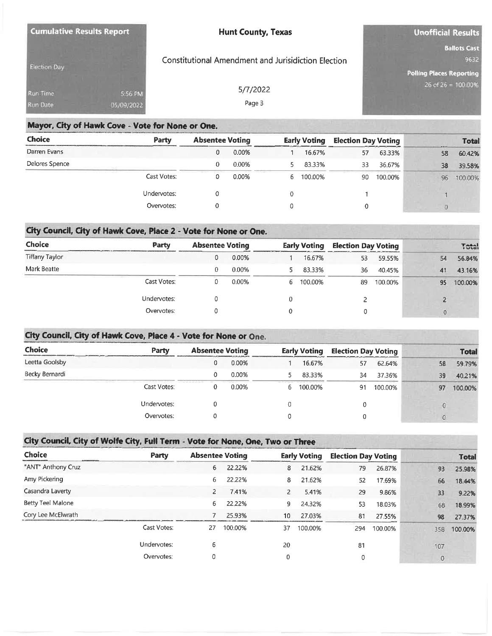| <b>Cumulative Results Report</b> |            | <b>Hunt County, Texas</b>                           | Unofficial Results                                        |  |  |
|----------------------------------|------------|-----------------------------------------------------|-----------------------------------------------------------|--|--|
| <b>Election Day</b>              |            | Constitutional Amendment and Jurisidiction Election | <b>Ballots Cast</b><br>9632                               |  |  |
| Run Time                         | 5:56 PM    | 5/7/2022                                            | <b>Polling Places Reporting</b><br>$26$ of $26 = 100.00%$ |  |  |
| <b>Run Date</b>                  | 05/09/2022 | Page 3                                              |                                                           |  |  |

### Mayor, City of Hawk Cove - Vote for None or One.

| <b>Choice</b>  | Party       | <b>Absentee Voting</b> |       | <b>Early Voting</b> |         | <b>Election Day Voting</b> |         | <b>Total</b> |         |  |
|----------------|-------------|------------------------|-------|---------------------|---------|----------------------------|---------|--------------|---------|--|
| Darren Evans   |             | 0                      | 0.00% |                     | 16.67%  | 57                         | 63.33%  | 58           | 60.42%  |  |
| Delores Spence |             | $\theta$               | 0.00% |                     | 83.33%  | 33                         | 36.67%  | 38           | 39.58%  |  |
|                | Cast Votes: | 0                      | 0.00% | b.                  | 100.00% | 90                         | 100.00% | 96           | 100.00% |  |
|                | Undervotes: |                        |       |                     |         |                            |         |              |         |  |
|                | Overvotes:  |                        |       |                     |         | 0                          |         |              |         |  |

### City Council, City of Hawk Cove, Place 2 - Vote for None or One.

| <b>Choice</b>  | Party       | <b>Absentee Voting</b> |       | <b>Early Voting</b> |         | <b>Election Day Voting</b> |         | <b>Total</b> |         |
|----------------|-------------|------------------------|-------|---------------------|---------|----------------------------|---------|--------------|---------|
| Tiffany Taylor |             | 0                      | 0.00% |                     | 16.67%  | 53                         | 59.55%  | 54           | 56.84%  |
| Mark Beatte    |             | $\Omega$               | 0.00% |                     | 83.33%  | 36                         | 40.45%  | 41           | 43.16%  |
|                | Cast Votes: |                        | 0.00% | 6.                  | 100.00% | 89                         | 100.00% | 95           | 100,00% |
|                | Undervotes: |                        |       |                     |         |                            |         |              |         |
|                | Overvotes:  |                        |       |                     |         |                            |         | $\theta$     |         |

### City Council, City of Hawk Cove, Place 4 - Vote for None or One.

| Choice         | Party       | <b>Absentee Voting</b> |       | <b>Early Voting</b> |           | <b>Election Day Voting</b> | <b>Total</b> |    |          |         |
|----------------|-------------|------------------------|-------|---------------------|-----------|----------------------------|--------------|----|----------|---------|
| Leetta Goolsby |             |                        | 0.00% |                     | 16.67%    | 57                         | 62.64%       | 58 |          | 59.79%  |
| Becky Bernardi |             |                        | 0.00% |                     | 83.33%    | 34                         | 37.36%       | 39 |          | 40.21%  |
|                | Cast Votes: |                        | 0.00% |                     | 6 100.00% | 91                         | 100.00%      | 97 |          | 100.00% |
|                | Undervotes: |                        |       | 0                   |           | 0                          |              |    |          |         |
|                | Overvotes:  |                        |       |                     |           | 0                          |              |    | $\Omega$ |         |

# City Council, City of Wolfe City, Full Term - Vote for None, One, Two or Three

| <b>Choice</b>      | Party       | <b>Absentee Voting</b> |         |                | <b>Early Voting</b> | <b>Election Day Voting</b> |         |          | <b>Total</b> |
|--------------------|-------------|------------------------|---------|----------------|---------------------|----------------------------|---------|----------|--------------|
| "ANT" Anthony Cruz |             | 6                      | 22.22%  | 8              | 21.62%              | 79                         | 26.87%  | 93       | 25.98%       |
| Amy Pickering      |             | 6                      | 22.22%  | 8              | 21.62%              | 52                         | 17.69%  | 66       | 18.44%       |
| Casandra Laverty   |             | $\overline{2}$         | 7.41%   | $\overline{2}$ | 5.41%               | 29                         | 9.86%   | 33       | 9.22%        |
| Betty Teel Malone  |             | 6                      | 22.22%  | 9              | 24.32%              | 53                         | 18.03%  | 68       | 18.99%       |
| Cory Lee McElwrath |             |                        | 25.93%  | 10             | 27.03%              | 81                         | 27.55%  | 98       | 27.37%       |
|                    | Cast Votes: | 27                     | 100.00% | 37             | 100.00%             | 294                        | 100.00% | 358      | 100.00%      |
|                    | Undervotes: | 6                      |         | 20             |                     | 81                         |         | 107      |              |
|                    | Overvotes:  | 0                      |         | 0              |                     | 0                          |         | $\theta$ |              |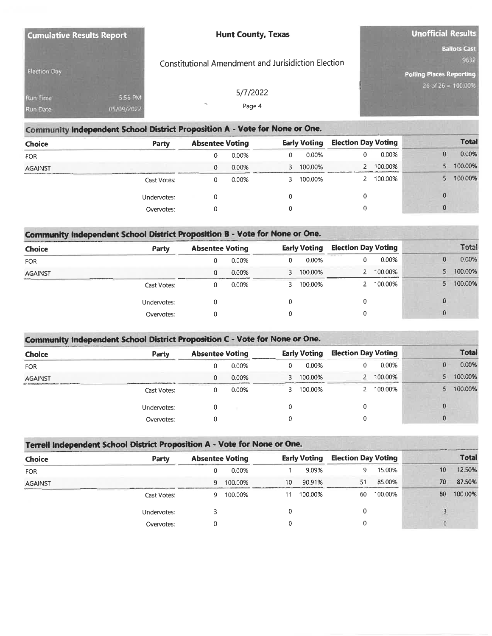| <b>Cumulative Results Report</b> |                       | <b>Hunt County, Texas</b>                           | <b>Unofficial Results</b>                                      |
|----------------------------------|-----------------------|-----------------------------------------------------|----------------------------------------------------------------|
| <b>Election Day</b>              |                       | Constitutional Amendment and Jurisidiction Election | <b>Ballots Cast</b><br>9632<br><b>Polling Places Reporting</b> |
| Run Time<br><b>Run Date</b>      | 5:56 PM<br>05/09/2022 | 5/7/2022<br>Page 4                                  | $26$ of $26 = 100.00%$                                         |

| Community Independent School District Proposition A - Vote for None or One. |             |                        |       |   |                     |                            |         |  |    |              |  |
|-----------------------------------------------------------------------------|-------------|------------------------|-------|---|---------------------|----------------------------|---------|--|----|--------------|--|
| Choice                                                                      | Party       | <b>Absentee Voting</b> |       |   | <b>Early Voting</b> | <b>Election Day Voting</b> |         |  |    | <b>Total</b> |  |
| <b>FOR</b>                                                                  |             | 0                      | 0.00% | 0 | 0.00%               | 0                          | 0.00%   |  |    | 0.00%        |  |
| <b>AGAINST</b>                                                              |             | 0                      | 0.00% |   | 100.00%             |                            | 100.00% |  | 5  | 100.00%      |  |
|                                                                             | Cast Votes: | 0                      | 0.00% |   | 100.00%             |                            | 100.00% |  | 5. | 100.00%      |  |
|                                                                             | Undervotes: | 0                      |       | 0 |                     | 0                          |         |  |    |              |  |
|                                                                             | Overvotes:  |                        |       | 0 |                     | 0                          |         |  |    |              |  |

| <b>Choice</b>  | Party       | <b>Absentee Voting</b> |       | <b>Early Voting</b> |           | <b>Election Day Voting</b> |         |    | Total   |
|----------------|-------------|------------------------|-------|---------------------|-----------|----------------------------|---------|----|---------|
| <b>FOR</b>     |             |                        | 0.00% | 0                   | 0.00%     | 0                          | 0.00%   |    | 0.00%   |
| <b>AGAINST</b> |             | 0                      | 0.00% |                     | 3 100.00% |                            | 100.00% | 5. | 100.00% |
|                | Cast Votes: |                        | 0.00% |                     | 100.00%   |                            | 100.00% |    | 100.00% |
|                | Undervotes: |                        |       |                     |           | 0                          |         |    |         |
|                | Overvotes:  |                        |       |                     |           |                            |         | 0  |         |

| Community Independent School District Proposition C - Vote for None or One. |             |                        |       |  |                     |                            |         |  |              |
|-----------------------------------------------------------------------------|-------------|------------------------|-------|--|---------------------|----------------------------|---------|--|--------------|
| <b>Choice</b>                                                               | Party       | <b>Absentee Voting</b> |       |  | <b>Early Voting</b> | <b>Election Day Voting</b> |         |  | <b>Total</b> |
| <b>FOR</b>                                                                  |             | Ω                      | 0.00% |  | 0.00%               |                            | 0.00%   |  | 0.00%<br>0   |
| <b>AGAINST</b>                                                              |             | 0                      | 0.00% |  | 100.00%             |                            | 100.00% |  | 100.00%      |
|                                                                             | Cast Votes: | 0                      | 0.00% |  | 100.00%             |                            | 100.00% |  | 100.00%      |
|                                                                             | Undervotes: | 0                      |       |  |                     |                            |         |  | 0            |
|                                                                             | Overvotes:  | 0                      |       |  |                     |                            |         |  | 0            |

| Terrell Independent School District Proposition A - Vote for None or One. |             |                        |         |                     |         |                            |         |    |              |
|---------------------------------------------------------------------------|-------------|------------------------|---------|---------------------|---------|----------------------------|---------|----|--------------|
| <b>Choice</b>                                                             | Party       | <b>Absentee Voting</b> |         | <b>Early Voting</b> |         | <b>Election Day Voting</b> |         |    | <b>Total</b> |
| <b>FOR</b>                                                                |             |                        | 0.00%   |                     | 9.09%   | 9                          | 15.00%  | 10 | 12.50%       |
| <b>AGAINST</b>                                                            |             | 9                      | 100.00% | 10                  | 90.91%  | 51                         | 85.00%  | 70 | 87.50%       |
|                                                                           | Cast Votes: | q                      | 100.00% |                     | 100.00% | 60                         | 100.00% | 80 | 100.00%      |
|                                                                           | Undervotes: |                        |         |                     |         | 0                          |         |    |              |
|                                                                           | Overvotes:  |                        |         |                     |         | 0                          |         |    |              |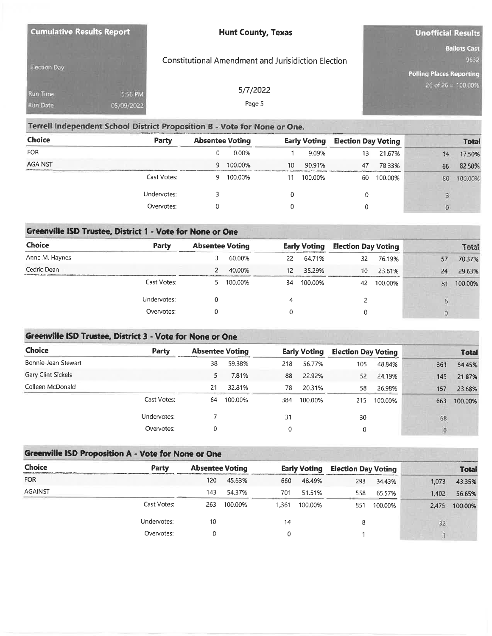| <b>Cumulative Results Report</b>   |                       | <b>Hunt County, Texas</b>                           | <b>Unofficial Results</b>                                      |
|------------------------------------|-----------------------|-----------------------------------------------------|----------------------------------------------------------------|
| <b>Election Day</b>                |                       | Constitutional Amendment and Jurisidiction Election | <b>Ballots Cast</b><br>9632<br><b>Polling Places Reporting</b> |
| <b>Run Time</b><br><b>Run Date</b> | 5.56 PM<br>05/09/2022 | 5/7/2022<br>Page 5                                  | $26$ of $26 = 100.00%$                                         |

### Terrell Independent School District Proposition B - Vote for None or One.

| Choice         | Party       | <b>Absentee Voting</b> |         | <b>Early Voting</b> |         | <b>Election Day Voting</b> |         | <b>Total</b> |         |
|----------------|-------------|------------------------|---------|---------------------|---------|----------------------------|---------|--------------|---------|
| <b>FOR</b>     |             |                        | 0.00%   |                     | 9.09%   | 13                         | 21.67%  | 14           | 17.50%  |
| <b>AGAINST</b> |             | 9                      | 100.00% | 10                  | 90.91%  | 47                         | 78.33%  | 66           | 82.50%  |
|                | Cast Votes: | ч                      | 100.00% |                     | 100.00% | 60                         | 100.00% | 80           | 100.00% |
|                | Undervotes: |                        |         |                     |         | 0                          |         |              |         |
|                | Overvotes:  |                        |         |                     |         | 0                          |         | $\alpha$     |         |

## Greenville ISD Trustee, District 1 - Vote for None or One

| Choice         | Party       | <b>Absentee Voting</b> |         |    | Early Voting |    | <b>Election Day Voting</b> |  |    | Total   |
|----------------|-------------|------------------------|---------|----|--------------|----|----------------------------|--|----|---------|
| Anne M. Haynes |             |                        | 60.00%  | 22 | 64.71%       | 32 | 76.19%                     |  | 57 | 70.37%  |
| Cedric Dean    |             |                        | 40.00%  | 12 | 35.29%       | 10 | 23.81%                     |  | 24 | 29.63%  |
|                | Cast Votes: |                        | 100.00% | 34 | 100.00%      | 42 | 100.00%                    |  | 81 | 100.00% |
|                | Undervotes: |                        |         | 4  |              |    |                            |  | Ð  |         |
|                | Overvotes:  |                        |         |    |              | 0  |                            |  |    |         |

### Greenville ISD Trustee, District 3 - Vote for None or One

| <b>Choice</b>       | Party       | <b>Absentee Voting</b> |         |     | <b>Early Voting</b> | <b>Election Day Voting</b> |         |          | <b>Total</b> |
|---------------------|-------------|------------------------|---------|-----|---------------------|----------------------------|---------|----------|--------------|
| Bonnie-Jean Stewart |             | 38                     | 59.38%  | 218 | 56.77%              | 105                        | 48.84%  | 361      | 54.45%       |
| Gary Clint Sickels  |             | 5                      | 7.81%   | 88  | 22.92%              | 52                         | 24.19%  | 145      | 21.87%       |
| Colleen McDonald    |             | 21                     | 32.81%  | 78  | 20.31%              | 58                         | 26.98%  | 157      | 23.68%       |
|                     | Cast Votes: | 64                     | 100.00% | 384 | 100.00%             | 215                        | 100.00% | 663      | 100.00%      |
|                     | Undervotes: |                        |         | 31  |                     | 30                         |         | 68       |              |
|                     | Overvotes:  | 0                      |         | 0   |                     | 0                          |         | $\Omega$ |              |

# Greenville ISD Proposition A - Vote for None or One

| <b>Choice</b>  | Party       | <b>Absentee Voting</b> |         |       | <b>Early Voting</b> | <b>Election Day Voting</b> |         |       | <b>Total</b> |
|----------------|-------------|------------------------|---------|-------|---------------------|----------------------------|---------|-------|--------------|
| <b>FOR</b>     |             | 120                    | 45.63%  | 660   | 48.49%              | 293                        | 34.43%  | 1,073 | 43.35%       |
| <b>AGAINST</b> |             | 143                    | 54.37%  | 701   | 51.51%              | 558                        | 65.57%  | 1,402 | 56.65%       |
|                | Cast Votes: | 263                    | 100.00% | 1.361 | 100.00%             | 851                        | 100.00% | 2.475 | 100.00%      |
|                | Undervotes: | 10                     |         | 14    |                     | 8                          |         | 32    |              |
|                | Overvotes:  |                        |         | 0     |                     |                            |         |       |              |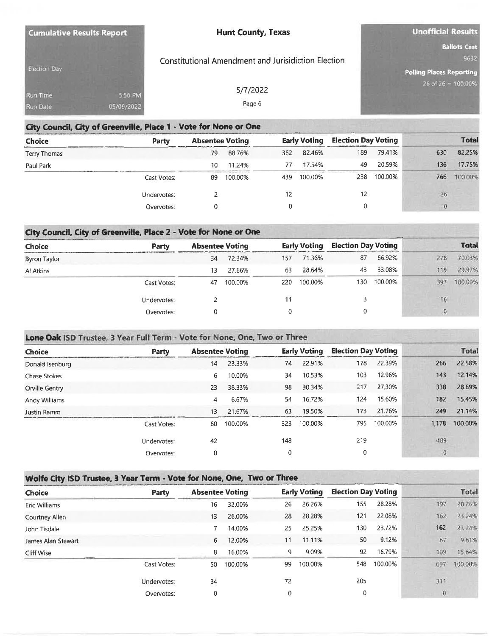| <b>Cumulative Results Report</b> |                       | <b>Hunt County, Texas</b>                           | <b>Unofficial Results</b>                                      |
|----------------------------------|-----------------------|-----------------------------------------------------|----------------------------------------------------------------|
| Election Day                     |                       | Constitutional Amendment and Jurisidiction Election | <b>Ballots Cast</b><br>9632<br><b>Polling Places Reporting</b> |
| Run Time<br>Run Date             | 5:56 PM<br>05/09/2022 | 5/7/2022<br>Page 6                                  | $26$ of $26 = 100.00\%$                                        |

#### City Council, City of Greenville, Place 1 - Vote for None or One

| <b>Choice</b> | Party       | <b>Absentee Voting</b> |         |     | <b>Early Voting</b> | <b>Election Day Voting</b> |         |          | <b>Total</b> |
|---------------|-------------|------------------------|---------|-----|---------------------|----------------------------|---------|----------|--------------|
| Terry Thomas  |             | 79                     | 88.76%  | 362 | 82.46%              | 189                        | 79.41%  | 630      | 82.25%       |
| Paul Park     |             | 10                     | 11.24%  | 77  | 17.54%              | 49                         | 20.59%  | 136      | 17.75%       |
|               | Cast Votes: | 89                     | 100.00% | 439 | 100.00%             | 238                        | 100.00% | 766      | 100.00%      |
|               | Undervotes: |                        |         | 12  |                     | 12                         |         | 26       |              |
|               | Overvotes:  |                        |         |     |                     | 0                          |         | $\Omega$ |              |

# City Council, City of Greenville, Place 2 - Vote for None or One

| <b>Choice</b> | Party       | <b>Absentee Voting</b> |         |     | <b>Election Day Voting</b><br><b>Early Voting</b> |     | <b>Total</b> |     |         |
|---------------|-------------|------------------------|---------|-----|---------------------------------------------------|-----|--------------|-----|---------|
| Byron Taylor  |             | 34                     | 72.34%  | 157 | 71.36%                                            | 87  | 66.92%       | 278 | 70.03%  |
| Al Atkins     |             | 13                     | 27.66%  | 63  | 28.64%                                            | 43  | 33.08%       | 119 | 29.97%  |
|               | Cast Votes: | 47                     | 100.00% | 220 | 100.00%                                           | 130 | 100.00%      | 397 | 100.00% |
|               | Undervotes: |                        |         | 11  |                                                   |     |              |     | 16      |
|               | Overvotes:  |                        |         | 0   |                                                   |     |              |     |         |

# Lone Oak ISD Trustee, 3 Year Full Term - Vote for None, One, Two or Three

| <b>Choice</b><br>Donald Isenburg | Party       | <b>Absentee Voting</b> |         |     | <b>Early Voting</b> |     | <b>Election Day Voting</b> | <b>Total</b> |         |
|----------------------------------|-------------|------------------------|---------|-----|---------------------|-----|----------------------------|--------------|---------|
|                                  |             | 14                     | 23.33%  | 74  | 22.91%              | 178 | 22.39%                     | 266          | 22.58%  |
| <b>Chase Stokes</b>              |             | 6                      | 10.00%  | 34  | 10.53%              | 103 | 12.96%                     | 143          | 12.14%  |
| Orville Gentry                   |             | 23                     | 38.33%  | 98  | 30.34%              | 217 | 27.30%                     | 338          | 28.69%  |
| Andy Williams                    |             | 4                      | 6.67%   | 54  | 16.72%              | 124 | 15.60%                     | 182          | 15.45%  |
| Justin Ramm                      |             | 13                     | 21.67%  | 63  | 19.50%              | 173 | 21.76%                     | 249          | 21.14%  |
|                                  | Cast Votes: | 60                     | 100.00% | 323 | 100.00%             | 795 | 100.00%                    | 1,178        | 100.00% |
|                                  | Undervotes: | 42                     |         | 148 |                     | 219 |                            | 409          |         |
|                                  | Overvotes:  | 0                      |         | 0   |                     | 0   |                            | $\mathbf{0}$ |         |

#### Wolfe City ISD Trustee, 3 Year Term - Vote for None, One, Two or Three

| Choice             | Party       | <b>Absentee Voting</b> |         | Early Voting |         | <b>Election Day Voting</b> | <b>Total</b> |  |          |         |
|--------------------|-------------|------------------------|---------|--------------|---------|----------------------------|--------------|--|----------|---------|
| Eric Williams      |             | 16                     | 32.00%  | 26           | 26.26%  | 155                        | 28.28%       |  | 197      | 28.26%  |
| Courtney Allen     |             | 13                     | 26.00%  | 28           | 28.28%  | 121                        | 22.08%       |  | 162      | 23.24%  |
| John Tisdale       |             |                        | 14.00%  | 25           | 25.25%  | 130                        | 23.72%       |  | 162      | 23.24%  |
| James Alan Stewart |             | 6                      | 12.00%  | 11           | 11.11%  | 50                         | 9.12%        |  | 67       | 9.61%   |
| Cliff Wise         |             | 8                      | 16.00%  | 9            | 9.09%   | 92                         | 16.79%       |  | 109      | 15.64%  |
|                    | Cast Votes: | 50                     | 100.00% | 99           | 100.00% | 548                        | 100.00%      |  | 697      | 100.00% |
|                    | Undervotes: | 34                     |         | 72           |         | 205                        |              |  | 311      |         |
|                    | Overvotes:  | 0                      |         | $\mathbf{0}$ |         | 0                          |              |  | $\Omega$ |         |